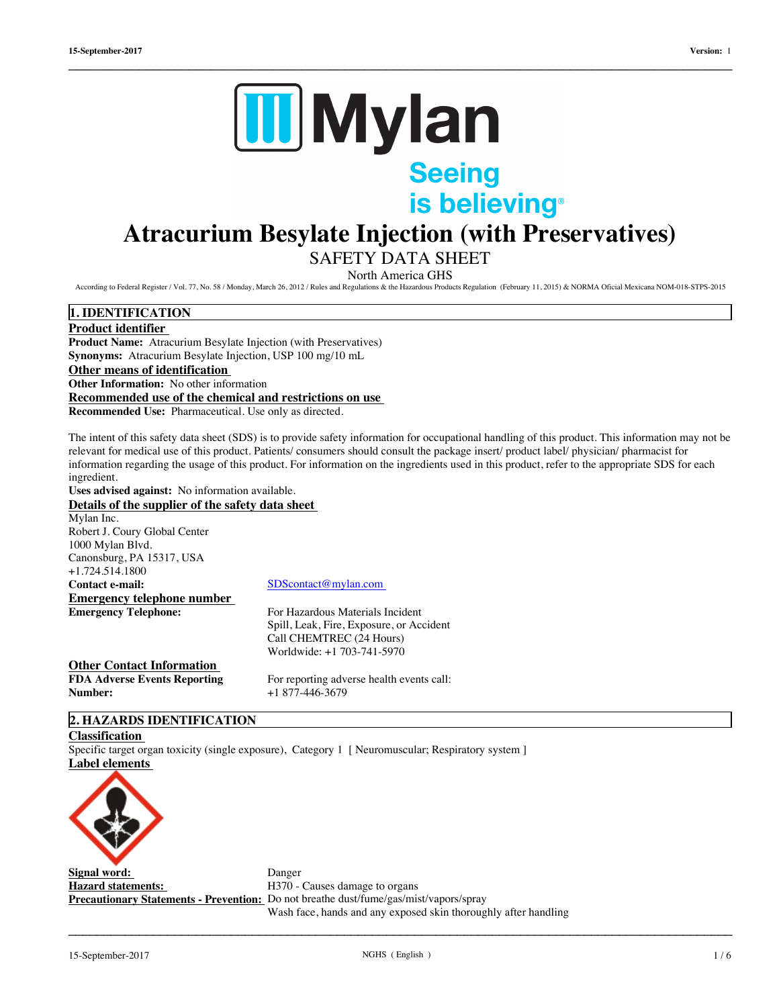

# **Atracurium Besylate Injection (with Preservatives)**

 $\_$  ,  $\_$  ,  $\_$  ,  $\_$  ,  $\_$  ,  $\_$  ,  $\_$  ,  $\_$  ,  $\_$  ,  $\_$  ,  $\_$  ,  $\_$  ,  $\_$  ,  $\_$  ,  $\_$  ,  $\_$  ,  $\_$  ,  $\_$  ,  $\_$  ,  $\_$  ,  $\_$  ,  $\_$  ,  $\_$  ,  $\_$  ,  $\_$  ,  $\_$  ,  $\_$  ,  $\_$  ,  $\_$  ,  $\_$  ,  $\_$  ,  $\_$  ,  $\_$  ,  $\_$  ,  $\_$  ,  $\_$  ,  $\_$  ,

# SAFETY DATA SHEET

North America GHS

According to Federal Register / Vol. 77, No. 58 / Monday, March 26, 2012 / Rules and Regulations & the Hazardous Products Regulation (February 11, 2015) & NORMA Oficial Mexicana NOM-018-STPS-2015

# **1. IDENTIFICATION**

**Product identifier Product Name:** Atracurium Besylate Injection (with Preservatives) **Synonyms:** Atracurium Besylate Injection, USP 100 mg/10 mL **Other means of identification Other Information:** No other information **Recommended use of the chemical and restrictions on use Recommended Use:** Pharmaceutical. Use only as directed.

The intent of this safety data sheet (SDS) is to provide safety information for occupational handling of this product. This information may not be relevant for medical use of this product. Patients/ consumers should consult the package insert/ product label/ physician/ pharmacist for information regarding the usage of this product. For information on the ingredients used in this product, refer to the appropriate SDS for each ingredient.

**Uses advised against:** No information available.

# **Details of the supplier of the safety data sheet**

| Details of the supplier of the safety uata sheet |                                           |  |  |  |  |
|--------------------------------------------------|-------------------------------------------|--|--|--|--|
| Mylan Inc.                                       |                                           |  |  |  |  |
| Robert J. Coury Global Center                    |                                           |  |  |  |  |
| 1000 Mylan Blvd.                                 |                                           |  |  |  |  |
| Canonsburg, PA 15317, USA                        |                                           |  |  |  |  |
| +1.724.514.1800                                  |                                           |  |  |  |  |
| <b>Contact e-mail:</b>                           | SDScontact@mylan.com                      |  |  |  |  |
| <b>Emergency telephone number</b>                |                                           |  |  |  |  |
| <b>Emergency Telephone:</b>                      | For Hazardous Materials Incident          |  |  |  |  |
|                                                  | Spill, Leak, Fire, Exposure, or Accident  |  |  |  |  |
|                                                  | Call CHEMTREC (24 Hours)                  |  |  |  |  |
|                                                  | Worldwide: +1 703-741-5970                |  |  |  |  |
| Other Contact Information                        |                                           |  |  |  |  |
| <b>FDA Adverse Events Reporting</b>              | For reporting adverse health events call: |  |  |  |  |
| <b>Number:</b>                                   | $+1877-446-3679$                          |  |  |  |  |
|                                                  |                                           |  |  |  |  |

# **2. HAZARDS IDENTIFICATION**

#### **Classification**

Specific target organ toxicity (single exposure), Category 1 [ Neuromuscular; Respiratory system ] **Label elements** 



**Signal word:** Danger **Hazard statements:** H370 - Causes damage to organs **Precautionary Statements - Prevention:** Do not breathe dust/fume/gas/mist/vapors/spray Wash face, hands and any exposed skin thoroughly after handling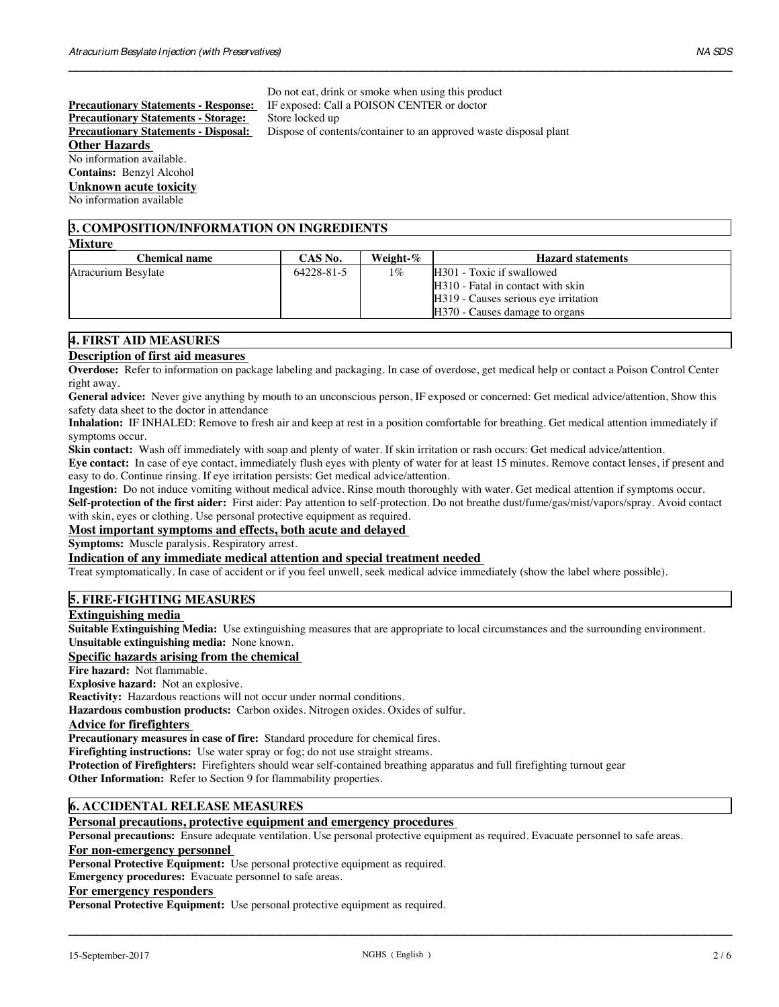**Precautionary Statements - Storage:<br><b>Precautionary Statements - Disposal: Other Hazards** No information available. **Contains:** Benzyl Alcohol **Unknown acute toxicity**

Do not eat, drink or smoke when using this product **Precautionary Statements - Response:** IF exposed: Call a POISON CENTER or doctor<br>**Precautionary Statements - Storage:** Store locked up **Dispose of contents/container to an approved waste disposal plant** 

 $\_$  ,  $\_$  ,  $\_$  ,  $\_$  ,  $\_$  ,  $\_$  ,  $\_$  ,  $\_$  ,  $\_$  ,  $\_$  ,  $\_$  ,  $\_$  ,  $\_$  ,  $\_$  ,  $\_$  ,  $\_$  ,  $\_$  ,  $\_$  ,  $\_$  ,  $\_$  ,  $\_$  ,  $\_$  ,  $\_$  ,  $\_$  ,  $\_$  ,  $\_$  ,  $\_$  ,  $\_$  ,  $\_$  ,  $\_$  ,  $\_$  ,  $\_$  ,  $\_$  ,  $\_$  ,  $\_$  ,  $\_$  ,  $\_$  ,

# **3. COMPOSITION/INFORMATION ON INGREDIENTS**

| <b>Chemical name</b> | CAS No.    | Weight-% | <b>Hazard statements</b>                                                                                                                 |  |
|----------------------|------------|----------|------------------------------------------------------------------------------------------------------------------------------------------|--|
| Atracurium Besylate  | 64228-81-5 | $1\%$    | H301 - Toxic if swallowed<br>H310 - Fatal in contact with skin<br>H319 - Causes serious eye irritation<br>H370 - Causes damage to organs |  |

# **4. FIRST AID MEASURES**

No information available

**Mixture** 

# **Description of first aid measures**

**Overdose:** Refer to information on package labeling and packaging. In case of overdose, get medical help or contact a Poison Control Center right away.

**General advice:** Never give anything by mouth to an unconscious person, IF exposed or concerned: Get medical advice/attention, Show this safety data sheet to the doctor in attendance

**Inhalation:** IF INHALED: Remove to fresh air and keep at rest in a position comfortable for breathing. Get medical attention immediately if symptoms occur.

**Skin contact:** Wash off immediately with soap and plenty of water. If skin irritation or rash occurs: Get medical advice/attention.

**Eye contact:** In case of eye contact, immediately flush eyes with plenty of water for at least 15 minutes. Remove contact lenses, if present and easy to do. Continue rinsing. If eye irritation persists: Get medical advice/attention.

**Ingestion:** Do not induce vomiting without medical advice. Rinse mouth thoroughly with water. Get medical attention if symptoms occur.

**Self-protection of the first aider:** First aider: Pay attention to self-protection. Do not breathe dust/fume/gas/mist/vapors/spray. Avoid contact with skin, eyes or clothing. Use personal protective equipment as required.

# **Most important symptoms and effects, both acute and delayed**

**Symptoms:** Muscle paralysis. Respiratory arrest.

# **Indication of any immediate medical attention and special treatment needed**

Treat symptomatically. In case of accident or if you feel unwell, seek medical advice immediately (show the label where possible).

# **5. FIRE-FIGHTING MEASURES**

#### **Extinguishing media**

**Suitable Extinguishing Media:** Use extinguishing measures that are appropriate to local circumstances and the surrounding environment. **Unsuitable extinguishing media:** None known.

#### **Specific hazards arising from the chemical**

**Fire hazard:** Not flammable.

**Explosive hazard:** Not an explosive.

**Reactivity:** Hazardous reactions will not occur under normal conditions.

**Hazardous combustion products:** Carbon oxides. Nitrogen oxides. Oxides of sulfur.

#### **Advice for firefighters**

**Precautionary measures in case of fire:** Standard procedure for chemical fires.

**Firefighting instructions:** Use water spray or fog; do not use straight streams.

**Protection of Firefighters:** Firefighters should wear self-contained breathing apparatus and full firefighting turnout gear **Other Information:** Refer to Section 9 for flammability properties.

# **6. ACCIDENTAL RELEASE MEASURES**

### **Personal precautions, protective equipment and emergency procedures**

**Personal precautions:** Ensure adequate ventilation. Use personal protective equipment as required. Evacuate personnel to safe areas.

# **For non-emergency personnel**

**Personal Protective Equipment:** Use personal protective equipment as required.

**Emergency procedures:** Evacuate personnel to safe areas.

# **For emergency responders**

**Personal Protective Equipment:** Use personal protective equipment as required.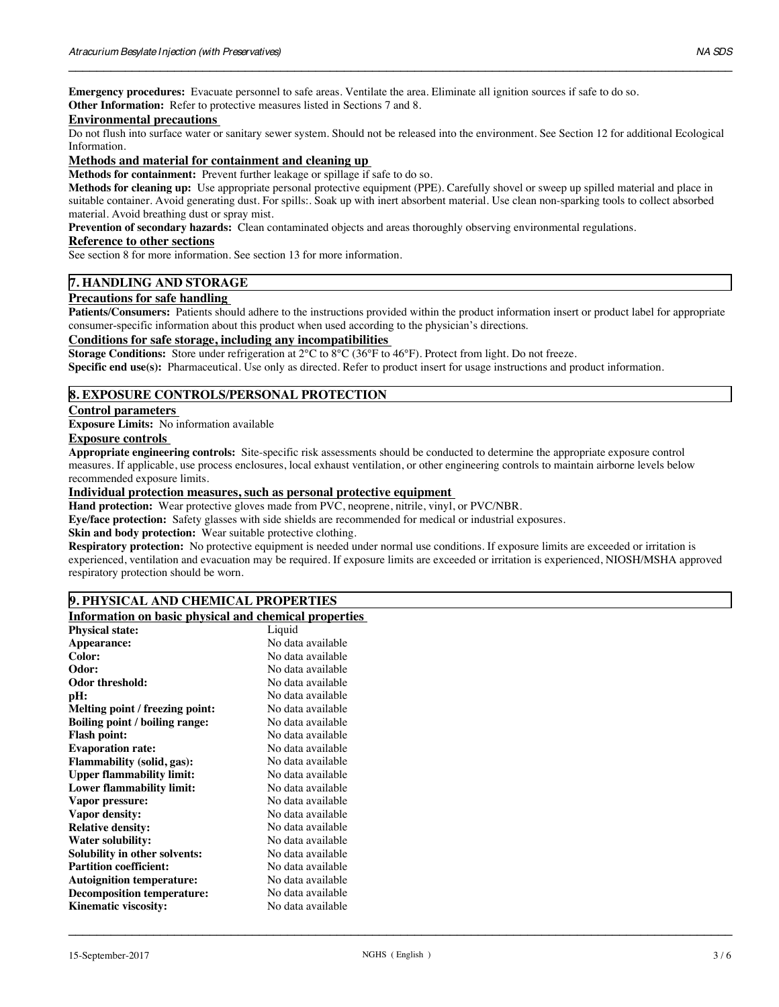**Emergency procedures:** Evacuate personnel to safe areas. Ventilate the area. Eliminate all ignition sources if safe to do so. **Other Information:** Refer to protective measures listed in Sections 7 and 8.

#### **Environmental precautions**

Do not flush into surface water or sanitary sewer system. Should not be released into the environment. See Section 12 for additional Ecological Information.

 $\_$  ,  $\_$  ,  $\_$  ,  $\_$  ,  $\_$  ,  $\_$  ,  $\_$  ,  $\_$  ,  $\_$  ,  $\_$  ,  $\_$  ,  $\_$  ,  $\_$  ,  $\_$  ,  $\_$  ,  $\_$  ,  $\_$  ,  $\_$  ,  $\_$  ,  $\_$  ,  $\_$  ,  $\_$  ,  $\_$  ,  $\_$  ,  $\_$  ,  $\_$  ,  $\_$  ,  $\_$  ,  $\_$  ,  $\_$  ,  $\_$  ,  $\_$  ,  $\_$  ,  $\_$  ,  $\_$  ,  $\_$  ,  $\_$  ,

# **Methods and material for containment and cleaning up**

**Methods for containment:** Prevent further leakage or spillage if safe to do so.

**Methods for cleaning up:** Use appropriate personal protective equipment (PPE). Carefully shovel or sweep up spilled material and place in suitable container. Avoid generating dust. For spills:. Soak up with inert absorbent material. Use clean non-sparking tools to collect absorbed material. Avoid breathing dust or spray mist.

**Prevention of secondary hazards:** Clean contaminated objects and areas thoroughly observing environmental regulations.

#### **Reference to other sections**

See section 8 for more information. See section 13 for more information.

# **7. HANDLING AND STORAGE**

## **Precautions for safe handling**

**Patients/Consumers:** Patients should adhere to the instructions provided within the product information insert or product label for appropriate consumer-specific information about this product when used according to the physician's directions.

# **Conditions for safe storage, including any incompatibilities**

**Storage Conditions:** Store under refrigeration at 2°C to 8°C (36°F to 46°F). Protect from light. Do not freeze.

**Specific end use(s):** Pharmaceutical. Use only as directed. Refer to product insert for usage instructions and product information.

# **8. EXPOSURE CONTROLS/PERSONAL PROTECTION**

#### **Control parameters**

**Exposure Limits:** No information available

## **Exposure controls**

**Appropriate engineering controls:** Site-specific risk assessments should be conducted to determine the appropriate exposure control measures. If applicable, use process enclosures, local exhaust ventilation, or other engineering controls to maintain airborne levels below recommended exposure limits.

# **Individual protection measures, such as personal protective equipment**

**Hand protection:** Wear protective gloves made from PVC, neoprene, nitrile, vinyl, or PVC/NBR.

**Eye/face protection:** Safety glasses with side shields are recommended for medical or industrial exposures.

**Skin and body protection:** Wear suitable protective clothing.

**Respiratory protection:** No protective equipment is needed under normal use conditions. If exposure limits are exceeded or irritation is experienced, ventilation and evacuation may be required. If exposure limits are exceeded or irritation is experienced, NIOSH/MSHA approved respiratory protection should be worn.

#### **9. PHYSICAL AND CHEMICAL PROPERTIES**

# **Information on basic physical and chemical properties**

| <b>Physical state:</b>                | Liquid            |
|---------------------------------------|-------------------|
| Appearance:                           | No data available |
| Color:                                | No data available |
| Odor:                                 | No data available |
| Odor threshold:                       | No data available |
| pH:                                   | No data available |
| Melting point / freezing point:       | No data available |
| <b>Boiling point / boiling range:</b> | No data available |
| <b>Flash point:</b>                   | No data available |
| <b>Evaporation rate:</b>              | No data available |
| <b>Flammability (solid, gas):</b>     | No data available |
| <b>Upper flammability limit:</b>      | No data available |
| <b>Lower flammability limit:</b>      | No data available |
| Vapor pressure:                       | No data available |
| Vapor density:                        | No data available |
| <b>Relative density:</b>              | No data available |
| <b>Water solubility:</b>              | No data available |
| Solubility in other solvents:         | No data available |
| <b>Partition coefficient:</b>         | No data available |
| <b>Autoignition temperature:</b>      | No data available |
| <b>Decomposition temperature:</b>     | No data available |
| <b>Kinematic viscosity:</b>           | No data available |
|                                       |                   |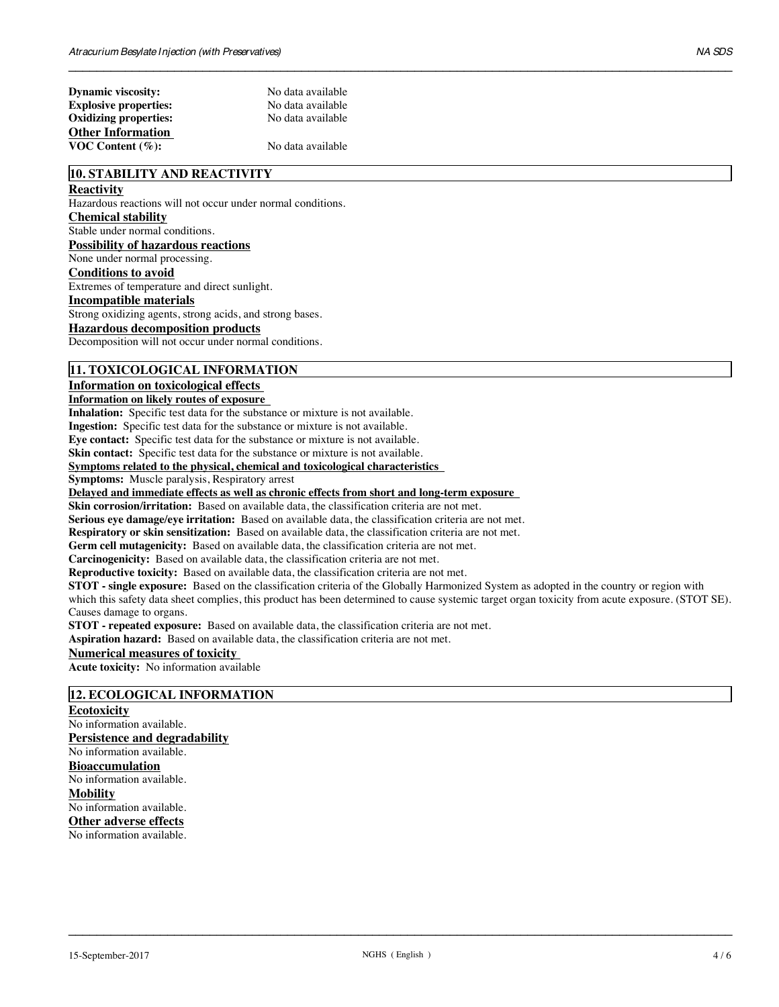$\_$  ,  $\_$  ,  $\_$  ,  $\_$  ,  $\_$  ,  $\_$  ,  $\_$  ,  $\_$  ,  $\_$  ,  $\_$  ,  $\_$  ,  $\_$  ,  $\_$  ,  $\_$  ,  $\_$  ,  $\_$  ,  $\_$  ,  $\_$  ,  $\_$  ,  $\_$  ,  $\_$  ,  $\_$  ,  $\_$  ,  $\_$  ,  $\_$  ,  $\_$  ,  $\_$  ,  $\_$  ,  $\_$  ,  $\_$  ,  $\_$  ,  $\_$  ,  $\_$  ,  $\_$  ,  $\_$  ,  $\_$  ,  $\_$  ,

# **10. STABILITY AND REACTIVITY**

# **Reactivity**

Hazardous reactions will not occur under normal conditions.

# **Chemical stability**

Stable under normal conditions.

**Possibility of hazardous reactions**

None under normal processing.

# **Conditions to avoid**

Extremes of temperature and direct sunlight.

# **Incompatible materials**

Strong oxidizing agents, strong acids, and strong bases.

# **Hazardous decomposition products**

Decomposition will not occur under normal conditions.

# **11. TOXICOLOGICAL INFORMATION**

#### **Information on toxicological effects**

#### **Information on likely routes of exposure**

**Inhalation:** Specific test data for the substance or mixture is not available.

**Ingestion:** Specific test data for the substance or mixture is not available.

**Eye contact:** Specific test data for the substance or mixture is not available.

**Skin contact:** Specific test data for the substance or mixture is not available.

#### **Symptoms related to the physical, chemical and toxicological characteristics**

**Symptoms:** Muscle paralysis, Respiratory arrest

**Delayed and immediate effects as well as chronic effects from short and long-term exposure**

**Skin corrosion/irritation:** Based on available data, the classification criteria are not met.

**Serious eye damage/eye irritation:** Based on available data, the classification criteria are not met.

**Respiratory or skin sensitization:** Based on available data, the classification criteria are not met.

**Germ cell mutagenicity:** Based on available data, the classification criteria are not met.

**Carcinogenicity:** Based on available data, the classification criteria are not met.

**Reproductive toxicity:** Based on available data, the classification criteria are not met.

**STOT - single exposure:** Based on the classification criteria of the Globally Harmonized System as adopted in the country or region with which this safety data sheet complies, this product has been determined to cause systemic target organ toxicity from acute exposure. (STOT SE). Causes damage to organs.

**STOT - repeated exposure:** Based on available data, the classification criteria are not met.

**Aspiration hazard:** Based on available data, the classification criteria are not met.

# **Numerical measures of toxicity**

**Acute toxicity:** No information available

# **12. ECOLOGICAL INFORMATION**

**Ecotoxicity** No information available. **Persistence and degradability** No information available. **Bioaccumulation** No information available. **Mobility** No information available. **Other adverse effects** No information available.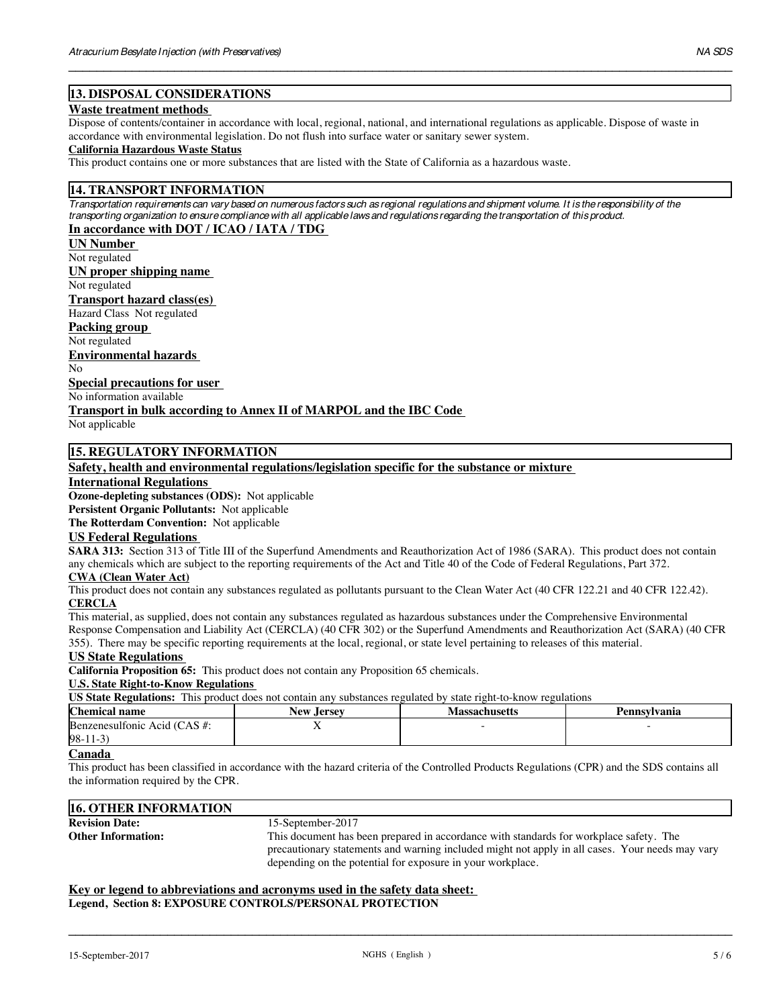# **13. DISPOSAL CONSIDERATIONS**

#### **Waste treatment methods**

Dispose of contents/container in accordance with local, regional, national, and international regulations as applicable. Dispose of waste in accordance with environmental legislation. Do not flush into surface water or sanitary sewer system.

 $\_$  ,  $\_$  ,  $\_$  ,  $\_$  ,  $\_$  ,  $\_$  ,  $\_$  ,  $\_$  ,  $\_$  ,  $\_$  ,  $\_$  ,  $\_$  ,  $\_$  ,  $\_$  ,  $\_$  ,  $\_$  ,  $\_$  ,  $\_$  ,  $\_$  ,  $\_$  ,  $\_$  ,  $\_$  ,  $\_$  ,  $\_$  ,  $\_$  ,  $\_$  ,  $\_$  ,  $\_$  ,  $\_$  ,  $\_$  ,  $\_$  ,  $\_$  ,  $\_$  ,  $\_$  ,  $\_$  ,  $\_$  ,  $\_$  ,

#### **California Hazardous Waste Status**

This product contains one or more substances that are listed with the State of California as a hazardous waste.

# **14. TRANSPORT INFORMATION**

*Transportation requirements can vary based on numerous factors such as regional regulations and shipment volume. It is the responsibility of the transporting organization to ensure compliance with all applicable laws and regulations regarding the transportation of this product.* **In accordance with DOT / ICAO / IATA / TDG**

Not regulated **UN Number** 

**UN proper shipping name** 

Not regulated

**Transport hazard class(es)**

Hazard Class Not regulated

# **Packing group**

Not regulated

**Environmental hazards** 

No

**Special precautions for user** 

No information available

**Transport in bulk according to Annex II of MARPOL and the IBC Code**

Not applicable

# **15. REGULATORY INFORMATION**

**Safety, health and environmental regulations/legislation specific for the substance or mixture**

#### **International Regulations**

**Ozone-depleting substances (ODS):** Not applicable

**Persistent Organic Pollutants:** Not applicable

**The Rotterdam Convention:** Not applicable

#### **US Federal Regulations**

**SARA 313:** Section 313 of Title III of the Superfund Amendments and Reauthorization Act of 1986 (SARA). This product does not contain any chemicals which are subject to the reporting requirements of the Act and Title 40 of the Code of Federal Regulations, Part 372.

# **CWA (Clean Water Act)**

This product does not contain any substances regulated as pollutants pursuant to the Clean Water Act (40 CFR 122.21 and 40 CFR 122.42). **CERCLA**

This material, as supplied, does not contain any substances regulated as hazardous substances under the Comprehensive Environmental Response Compensation and Liability Act (CERCLA) (40 CFR 302) or the Superfund Amendments and Reauthorization Act (SARA) (40 CFR 355). There may be specific reporting requirements at the local, regional, or state level pertaining to releases of this material.

#### **US State Regulations**

**California Proposition 65:** This product does not contain any Proposition 65 chemicals.

#### **U.S. State Right-to-Know Regulations**

**US State Regulations:** This product does not contain any substances regulated by state right-to-know regulations

| <u>UD DMW IWLWMUDIDI THID DIVWAY WOOD HOT VOHMIH MIT DWODMINGO IVL MINGO OT DMW IILIII IV INIO II IVL MINIOID</u> |             |               |              |  |  |  |
|-------------------------------------------------------------------------------------------------------------------|-------------|---------------|--------------|--|--|--|
| Chemical name                                                                                                     | New .Jersey | Massachusetts | Pennsvivanıa |  |  |  |
| Benzenesulfonic Acid $(CAS \#$ :                                                                                  |             |               |              |  |  |  |
| $98-11-3$                                                                                                         |             |               |              |  |  |  |

# **Canada**

This product has been classified in accordance with the hazard criteria of the Controlled Products Regulations (CPR) and the SDS contains all the information required by the CPR.

# **16. OTHER INFORMATION Revision Date:** 15-September-2017<br> **Other Information:** 15-September-2017 This document has been prepared in accordance with standards for workplace safety. The precautionary statements and warning included might not apply in all cases. Your needs may vary depending on the potential for exposure in your workplace.

## **Key or legend to abbreviations and acronyms used in the safety data sheet: Legend, Section 8: EXPOSURE CONTROLS/PERSONAL PROTECTION**